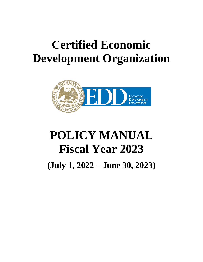# **Certified Economic Development Organization**



# **POLICY MANUAL Fiscal Year 2023 (July 1, 2022 – June 30, 2023)**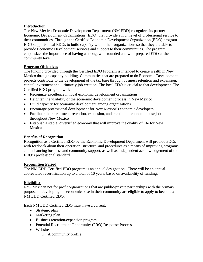## **Introduction**

The New Mexico Economic Development Department (NM EDD) recognizes its partner Economic Development Organizations (EDO) that provide a high level of professional service to their communities. Through the Certified Economic Development Organization (EDO) program EDD supports local EDOs to build capacity within their organizations so that they are able to provide Economic Development services and support to their communities. The program emphasizes the importance of having a strong, well-rounded and well-prepared EDO at the community level.

# **Program Objectives**

The funding provided through the Certified EDO Program is intended to create wealth in New Mexico through capacity building. Communities that are prepared to do Economic Development projects contribute to the development of the tax base through business retention and expansion, capital investment and ultimately job creation. The local EDO is crucial to that development. The Certified EDO program will:

- Recognize excellence in local economic development organizations
- Heighten the visibility of the economic development process in New Mexico
- Build capacity for economic development among organizations
- Encourage professional development for New Mexico's economic developers
- Facilitate the recruitment, retention, expansion, and creation of economic-base jobs throughout New Mexico
- Establish a stable, diversified economy that will improve the quality of life for New Mexicans

## **Benefits of Recognition**

Recognition as a Certified EDO by the Economic Development Department will provide EDOs with feedback about their operation, structure, and procedures as a means of improving programs and enhancing business and community support, as well as independent acknowledgement of the EDO's professional standard.

## **Recognition Period**

The NM EDD Certified EDO program is an annual designation. There will be an annual abbreviated recertification up to a total of 10 years, based on availability of funding.

# **Eligibility**

New Mexican not for profit organizations that are public-private partnerships with the primary purpose of developing the economic base in their community are eligible to apply to become a NM EDD Certified EDO.

Each NM EDD Certified EDO must have a current:

- Strategic plan
- Marketing plan
- Business retention/expansion program
- Potential Recruitment Opportunity (PRO) Response Process
- Website
	- o A community profile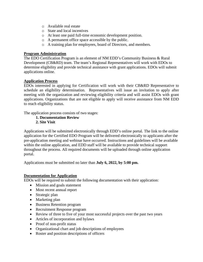- o Available real estate
- o State and local incentives
- o At least one paid full-time economic development position.
- o A permanent office space accessible by the public.
- o A training plan for employees, board of Directors, and members.

#### **Program Administration**

The EDO Certification Program is an element of NM EDD's Community Business & Rural Development (CB&RD) team. The team's Regional Representatives will work with EDOs to determine eligibility and provide technical assistance with grant applications. EDOs will submit applications online.

### **Application Process**

EDOs interested in applying for Certification will work with their CB&RD Representative to schedule an eligibility determination. Representatives will issue an invitation to apply after meeting with the organization and reviewing eligibility criteria and will assist EDOs with grant applications. Organizations that are not eligible to apply will receive assistance from NM EDD to reach eligibility status.

The application process consists of two stages:

#### **1. Documentation Review 2. Site Visit**

Applications will be submitted electronically through EDD's online portal. The link to the online application for the Certified EDO Program will be delivered electronically to applicants after the pre-application meeting and webinar have occurred. Instructions and guidelines will be available within the online application, and EDD staff will be available to provide technical support throughout the process. All required documents will be uploaded through online application portal.

Applications must be submitted no later than **July 6, 2022, by 5:00 pm.**

## **Documentation for Application**

EDOs will be required to submit the following documentation with their application:

- Mission and goals statement
- Most recent annual report
- Strategic plan
- Marketing plan
- Business Retention program
- Recruitment Response program
- Review of three to five of your most successful projects over the past two years
- Articles of incorporation and bylaws
- Proof of non-profit status
- Organizational chart and job descriptions of employees
- Roster and position descriptions of officers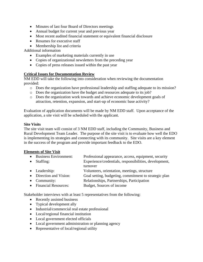- Minutes of last four Board of Directors meetings
- Annual budget for current year and previous year
- Most recent audited financial statement or equivalent financial disclosure
- Resumes for executive staff
- Membership list and criteria

Additional information

- Examples of marketing materials currently in use
- Copies of organizational newsletters from the preceding year
- Copies of press releases issued within the past year

#### **Critical Issues for Documentation Review**

NM EDD will take the following into consideration when reviewing the documentation provided:

- o Does the organization have professional leadership and staffing adequate to its mission?
- o Does the organization have the budget and resources adequate to its job?
- o Does the organization work towards and achieve economic development goals of attraction, retention, expansion, and start-up of economic base activity?

Evaluation of application documents will be made by NM EDD staff. Upon acceptance of the application, a site visit will be scheduled with the applicant.

#### **Site Visits**

The site visit team will consist of 3 NM EDD staff, including the Community, Business and Rural Development Team Leader. The purpose of the site visit is to evaluate how well the EDO is implementing its strategies and connecting with its community. Site visits are a key element in the success of the program and provide important feedback to the EDO.

#### **Elements of Site Visit**

- Business Environment: Professional appearance, access, equipment, security
- Staffing: Experience/credentials, responsibilities, development, turnover
- Leadership: Volunteers, orientation, meetings, structure
- Direction and Vision: Goal setting, budgeting, commitment to strategic plan
- Community: Relationships, Partnerships, Participation
- Financial Resources: Budget, Sources of income

Stakeholder interviews with at least 5 representatives from the following:

- Recently assisted business
- Typical development ally
- Industrial/commercial real estate professional
- Local/regional financial institution
- Local government elected officials
- Local government administration or planning agency
- Representative of local/regional utility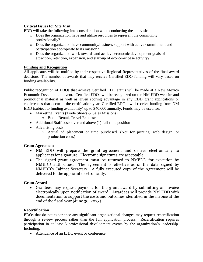# **Critical Issues for Site Visit**

EDD will take the following into consideration when conducting the site visit:

- o Does the organization have and utilize resources to represent the community professionally?
- o Does the organization have community/business support with active commitment and participation appropriate to its mission?
- o Does the organization work towards and achieve economic development goals of attraction, retention, expansion, and start-up of economic base activity?

### **Funding and Recognition**

All applicants will be notified by their respective Regional Representatives of the final award decisions. The number of awards that may receive Certified EDO funding will vary based on funding availability.

Public recognition of EDOs that achieve Certified EDO status will be made at a New Mexico Economic Development event. Certified EDOs will be recognized on the NM EDD website and promotional material as well as given scoring advantage in any EDD grant applications or conferences that occur in the certification year. Certified EDO's will receive funding from NM EDD (subject to funding availability) up to \$40,000 annually. Funds may be used for:

- Marketing Events (Trade Shows & Sales Missions)
	- o Booth Rental, Travel Expenses
- Additional Staff costs over and above (1) full-time position
- Advertising costs
	- o Actual ad placement or time purchased. (Not for printing, web design, or production costs)

## **Grant Agreement**

- NM EDD will prepare the grant agreement and deliver electronically to applicants for signature. Electronic signatures are acceptable.
- The signed grant agreement must be returned to NMEDD for execution by NMEDD authorities. The agreement is effective as of the date signed by NMEDD's Cabinet Secretary. A fully executed copy of the Agreement will be delivered to the applicant electronically.

## **Grant Award**

• Grantees may request payment for the grant award by submitting an invoice electronically upon notification of award. Awardees will provide NM EDD with documentation to support the costs and outcomes identified in the invoice at the end of the fiscal year (June 30, 2023).

## **Recertification**

EDOs that do not experience any significant organizational changes may request recertification through a review process rather than the full application process. Recertification requires participation in at least 5 professional development events by the organization's leadership. Including:

• Attendance of an IEDC event or conference